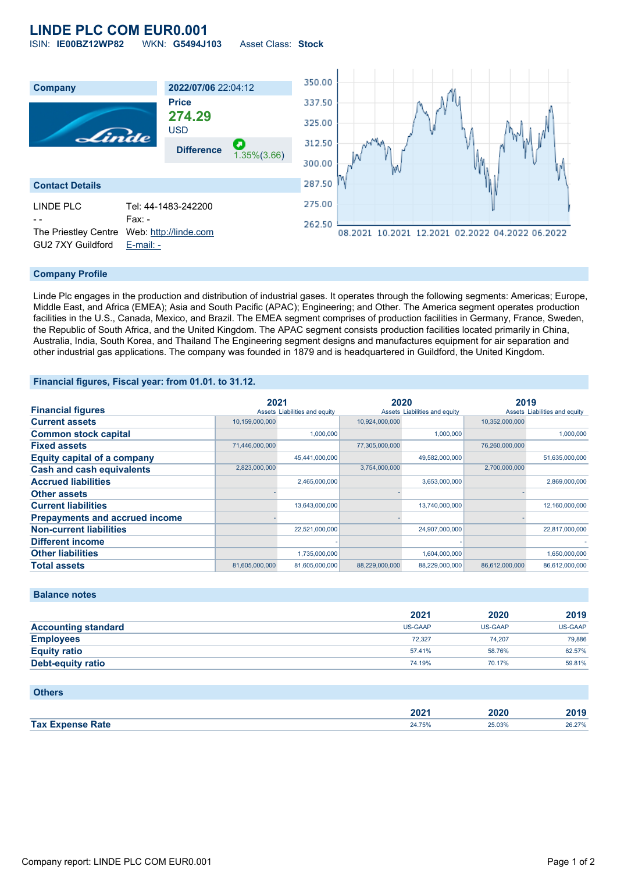## **LINDE PLC COM EUR0.001** ISIN: **IE00BZ12WP82** WKN: **G5494J103** Asset Class: **Stock**

350.00 **Company 2022/07/06** 22:04:12 **Price** 337.50 **274.29** 325.00 USD Linde 312.50 **Difference** 1.35%(3.66) 300.00 287.50 **Contact Details** 275.00 LINDE PLC Tel: 44-1483-242200 Fax: -262.50 The Priestley Centre Web: [http://linde.com](http://linde.com/) 08.2021 10.2021 12.2021 02.2022 04.2022 06.2022 GU2 7XY Guildford [E-mail: -](mailto:-)

## **Company Profile**

Linde Plc engages in the production and distribution of industrial gases. It operates through the following segments: Americas; Europe, Middle East, and Africa (EMEA); Asia and South Pacific (APAC); Engineering; and Other. The America segment operates production facilities in the U.S., Canada, Mexico, and Brazil. The EMEA segment comprises of production facilities in Germany, France, Sweden, the Republic of South Africa, and the United Kingdom. The APAC segment consists production facilities located primarily in China, Australia, India, South Korea, and Thailand The Engineering segment designs and manufactures equipment for air separation and other industrial gas applications. The company was founded in 1879 and is headquartered in Guildford, the United Kingdom.

#### **Financial figures, Fiscal year: from 01.01. to 31.12.**

|                                       | 2021           |                               | 2020           |                               | 2019           |                               |
|---------------------------------------|----------------|-------------------------------|----------------|-------------------------------|----------------|-------------------------------|
| <b>Financial figures</b>              |                | Assets Liabilities and equity |                | Assets Liabilities and equity |                | Assets Liabilities and equity |
| <b>Current assets</b>                 | 10,159,000,000 |                               | 10,924,000,000 |                               | 10,352,000,000 |                               |
| <b>Common stock capital</b>           |                | 1.000.000                     |                | 1,000,000                     |                | 1,000,000                     |
| <b>Fixed assets</b>                   | 71,446,000,000 |                               | 77,305,000,000 |                               | 76,260,000,000 |                               |
| <b>Equity capital of a company</b>    |                | 45,441,000,000                |                | 49,582,000,000                |                | 51,635,000,000                |
| <b>Cash and cash equivalents</b>      | 2,823,000,000  |                               | 3,754,000,000  |                               | 2,700,000,000  |                               |
| <b>Accrued liabilities</b>            |                | 2,465,000,000                 |                | 3,653,000,000                 |                | 2,869,000,000                 |
| <b>Other assets</b>                   |                |                               |                |                               |                |                               |
| <b>Current liabilities</b>            |                | 13,643,000,000                |                | 13,740,000,000                |                | 12,160,000,000                |
| <b>Prepayments and accrued income</b> |                |                               |                |                               |                |                               |
| <b>Non-current liabilities</b>        |                | 22,521,000,000                |                | 24,907,000,000                |                | 22,817,000,000                |
| <b>Different income</b>               |                |                               |                |                               |                |                               |
| <b>Other liabilities</b>              |                | 1,735,000,000                 |                | 1,604,000,000                 |                | 1,650,000,000                 |
| <b>Total assets</b>                   | 81,605,000,000 | 81,605,000,000                | 88,229,000,000 | 88,229,000,000                | 86,612,000,000 | 86,612,000,000                |

## **Balance notes**

|                            | 2021    | 2020    | 2019           |
|----------------------------|---------|---------|----------------|
| <b>Accounting standard</b> | US-GAAP | US-GAAP | <b>US-GAAP</b> |
| <b>Employees</b>           | 72.327  | 74.207  | 79.886         |
| <b>Equity ratio</b>        | 57.41%  | 58.76%  | 62.57%         |
| <b>Debt-equity ratio</b>   | 74.19%  | 70.17%  | 59.81%         |

#### **Others**

|                               | יממה<br>ZUZ I | onor<br><b>SUZU</b><br>____ | 2010<br>40 I J  |
|-------------------------------|---------------|-----------------------------|-----------------|
| <b>Sho Rafe</b><br><b>Tax</b> |               | 25.03%                      | 26 27%<br>20.61 |